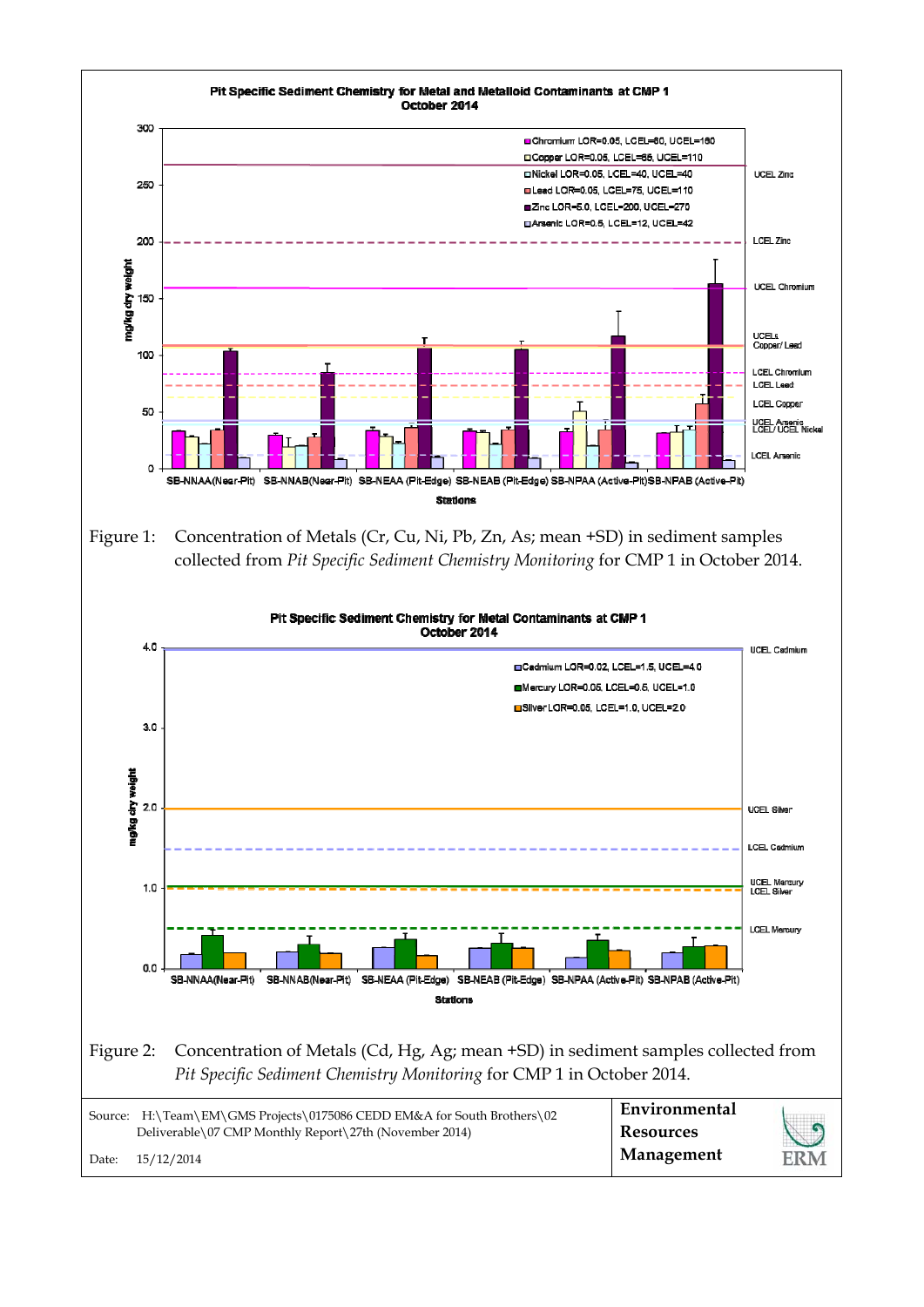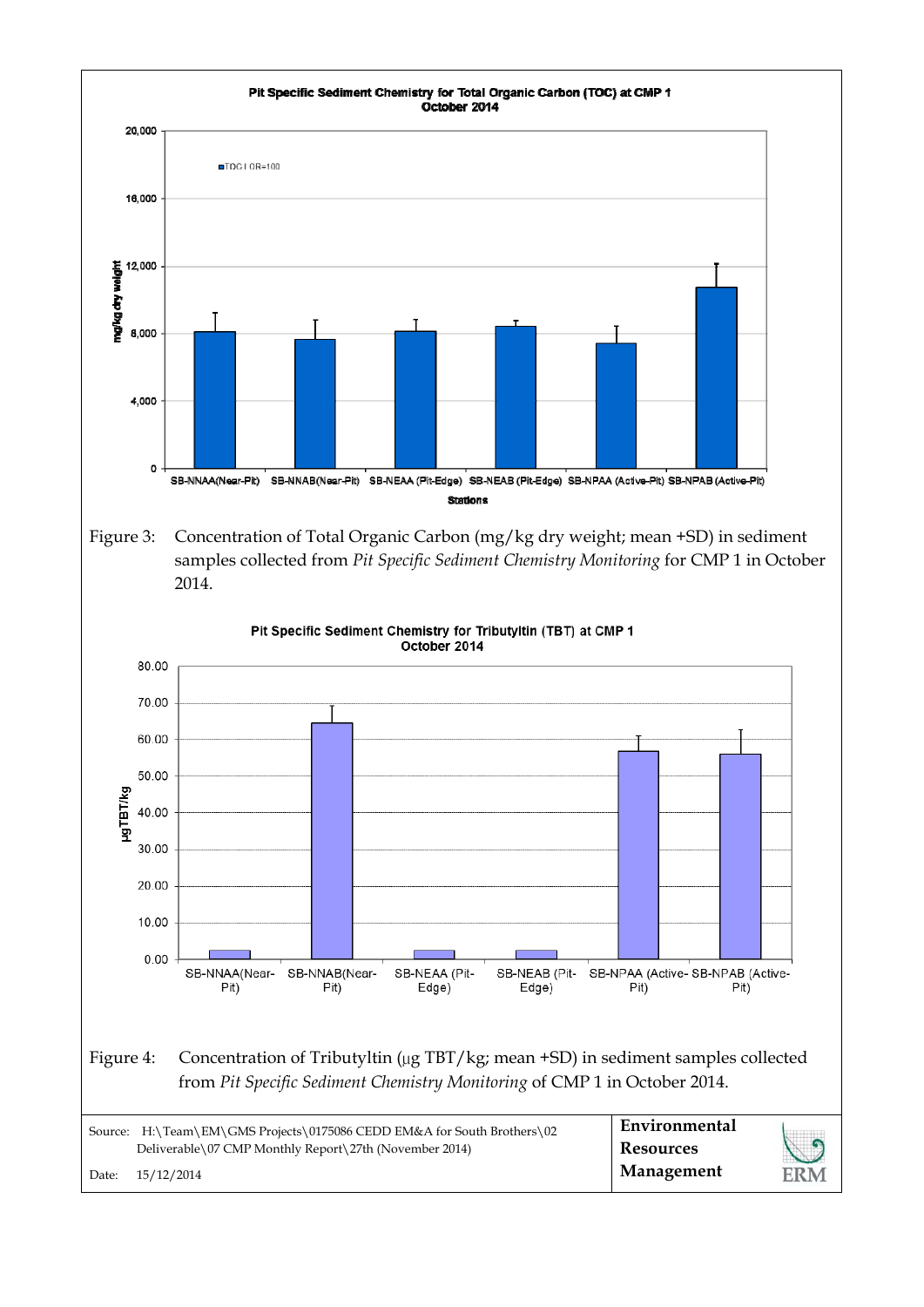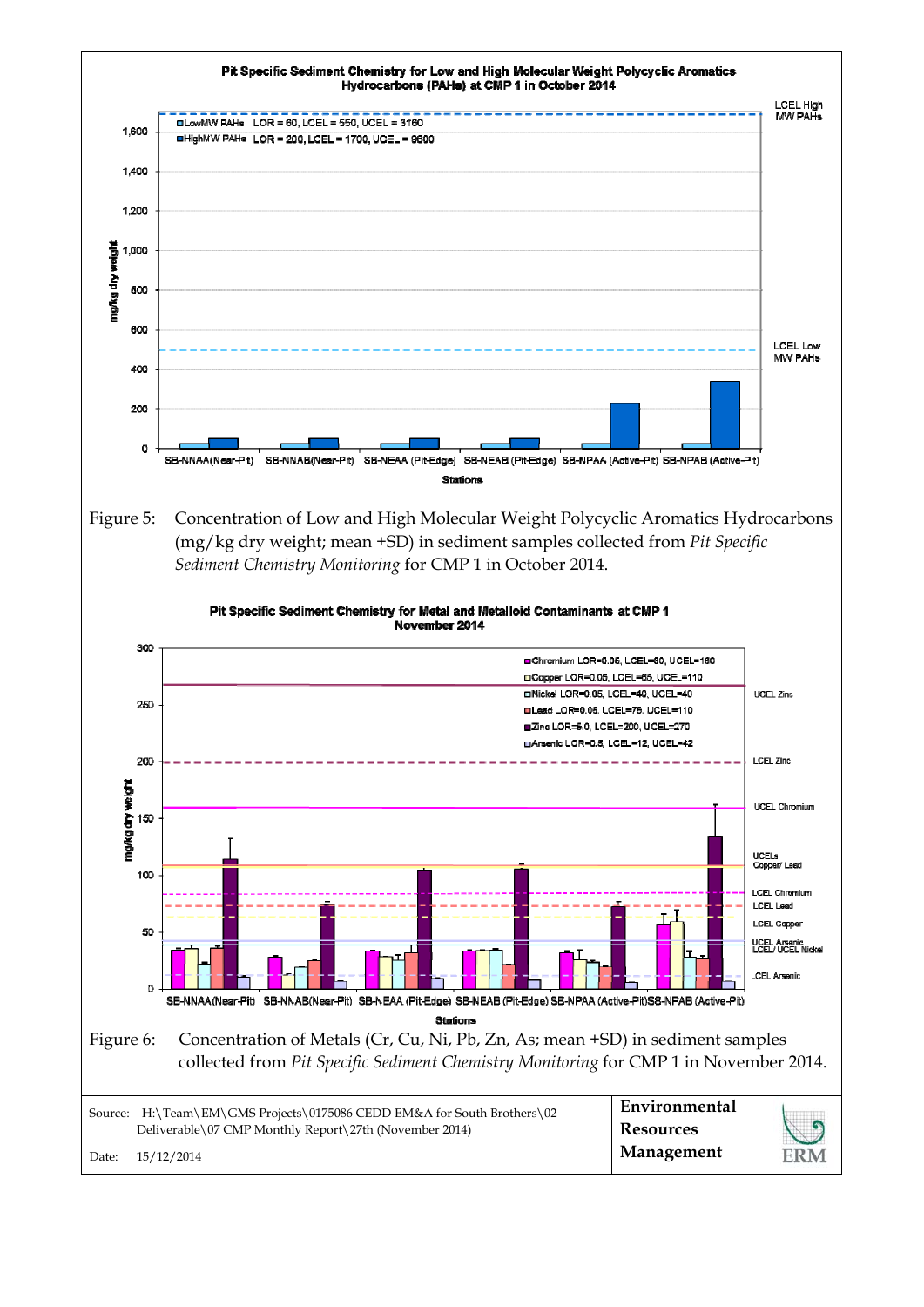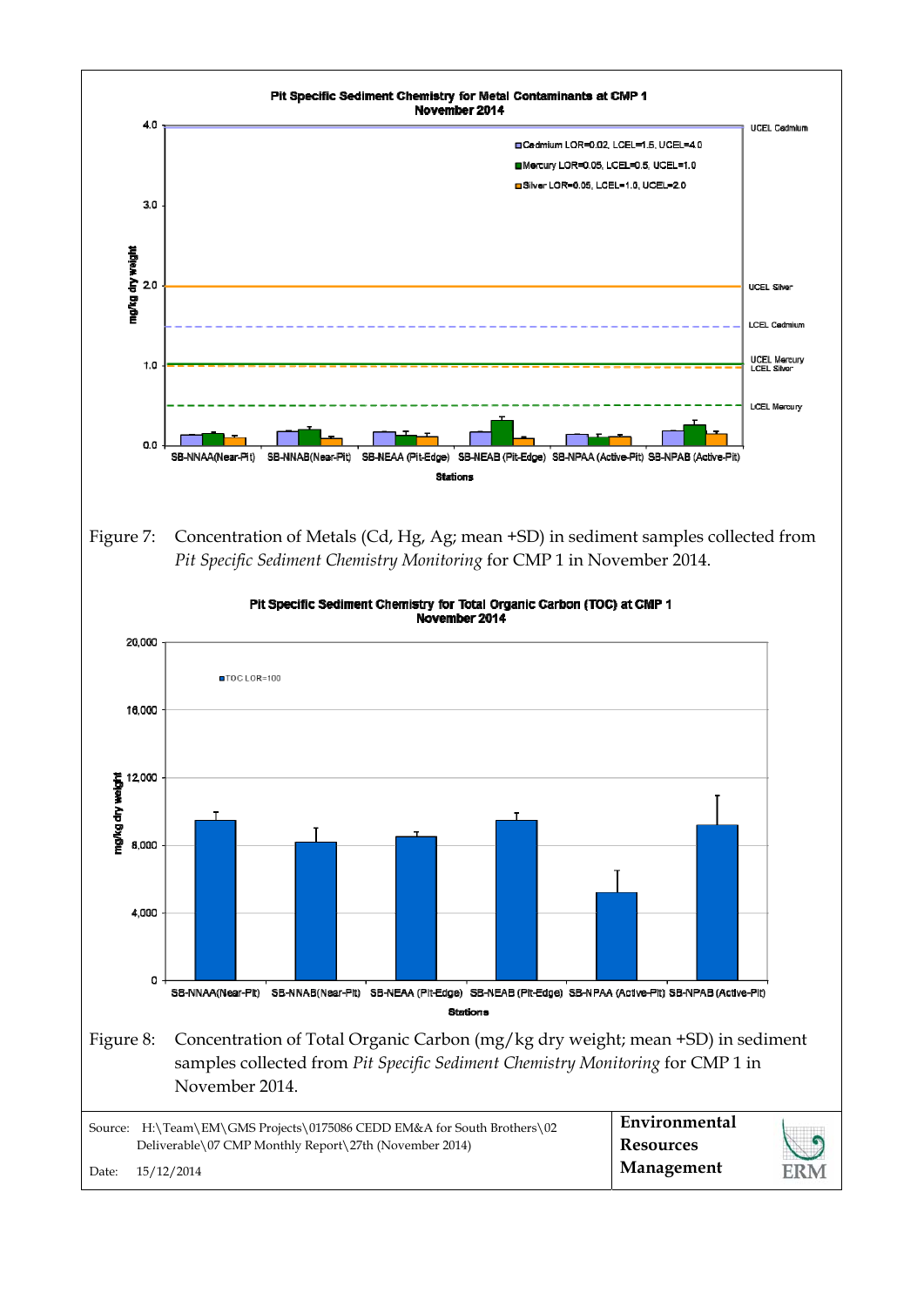



|       | Source: H:\Team\EM\GMS Projects\0175086 CEDD EM&A for South Brothers\02 | Environmental    |     |
|-------|-------------------------------------------------------------------------|------------------|-----|
|       | Deliverable\07 CMP Monthly Report\27th (November 2014)                  | <b>Resources</b> |     |
| Date: | 15/12/2014                                                              | Management       | ERM |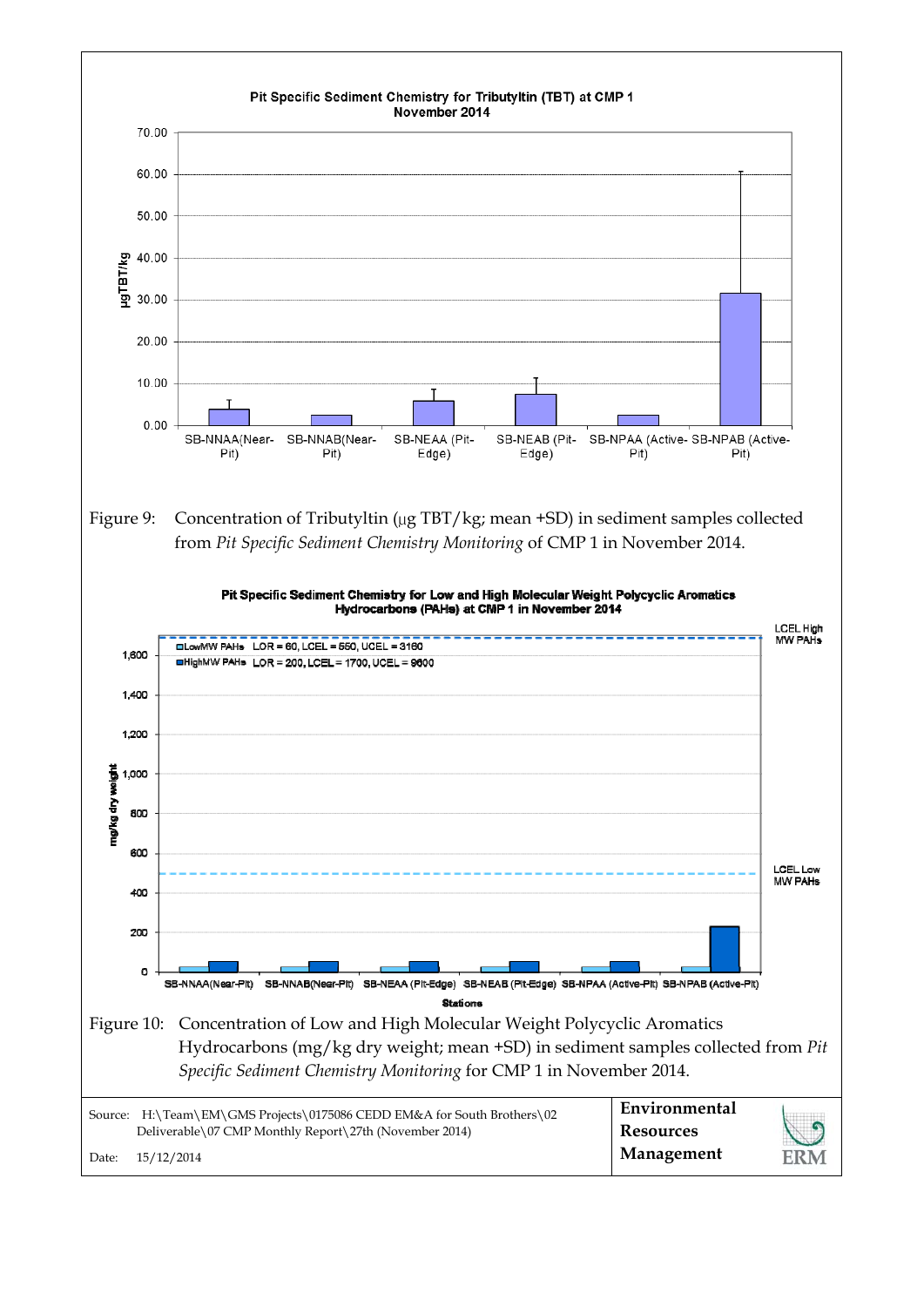![](_page_4_Figure_0.jpeg)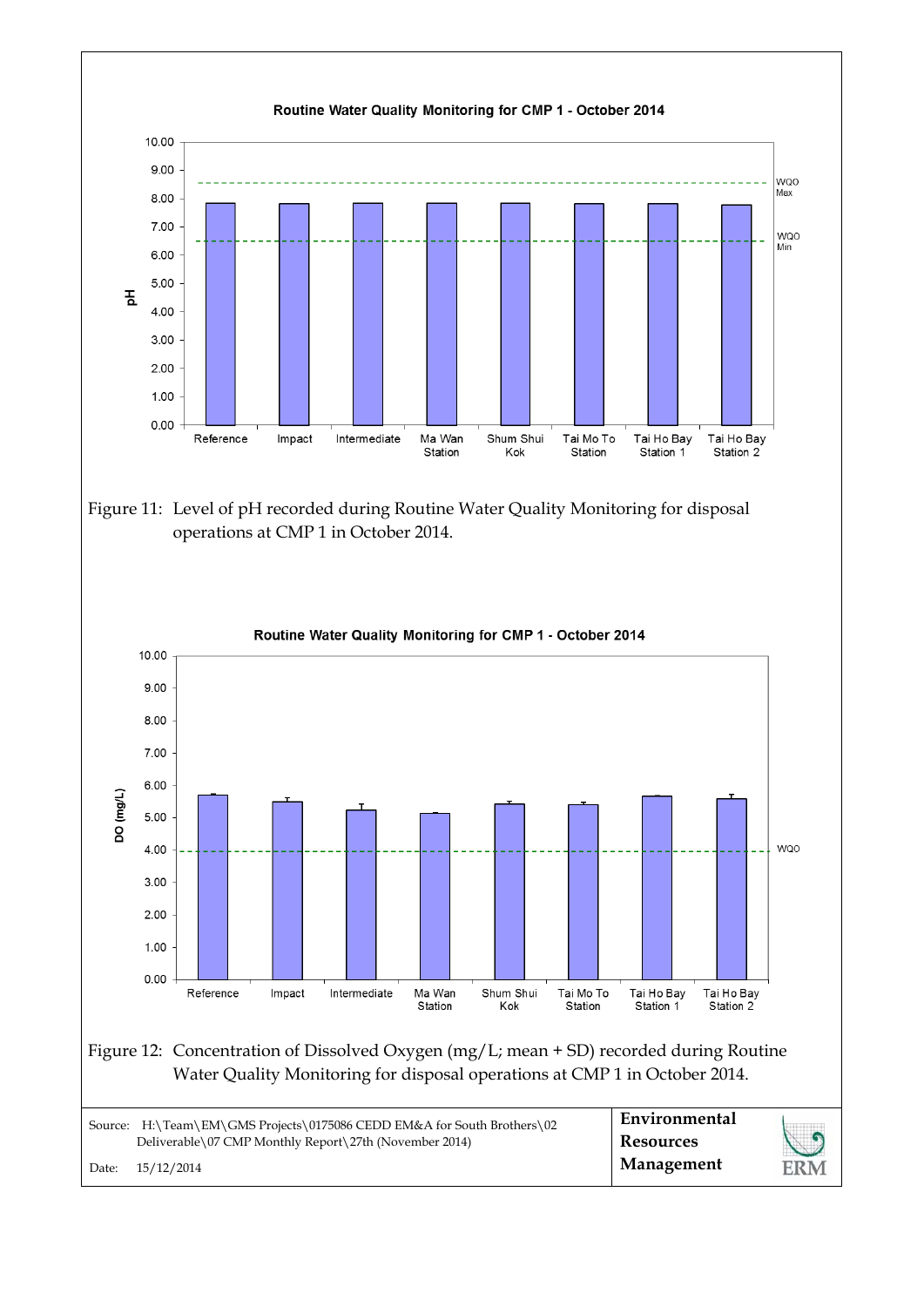![](_page_5_Figure_0.jpeg)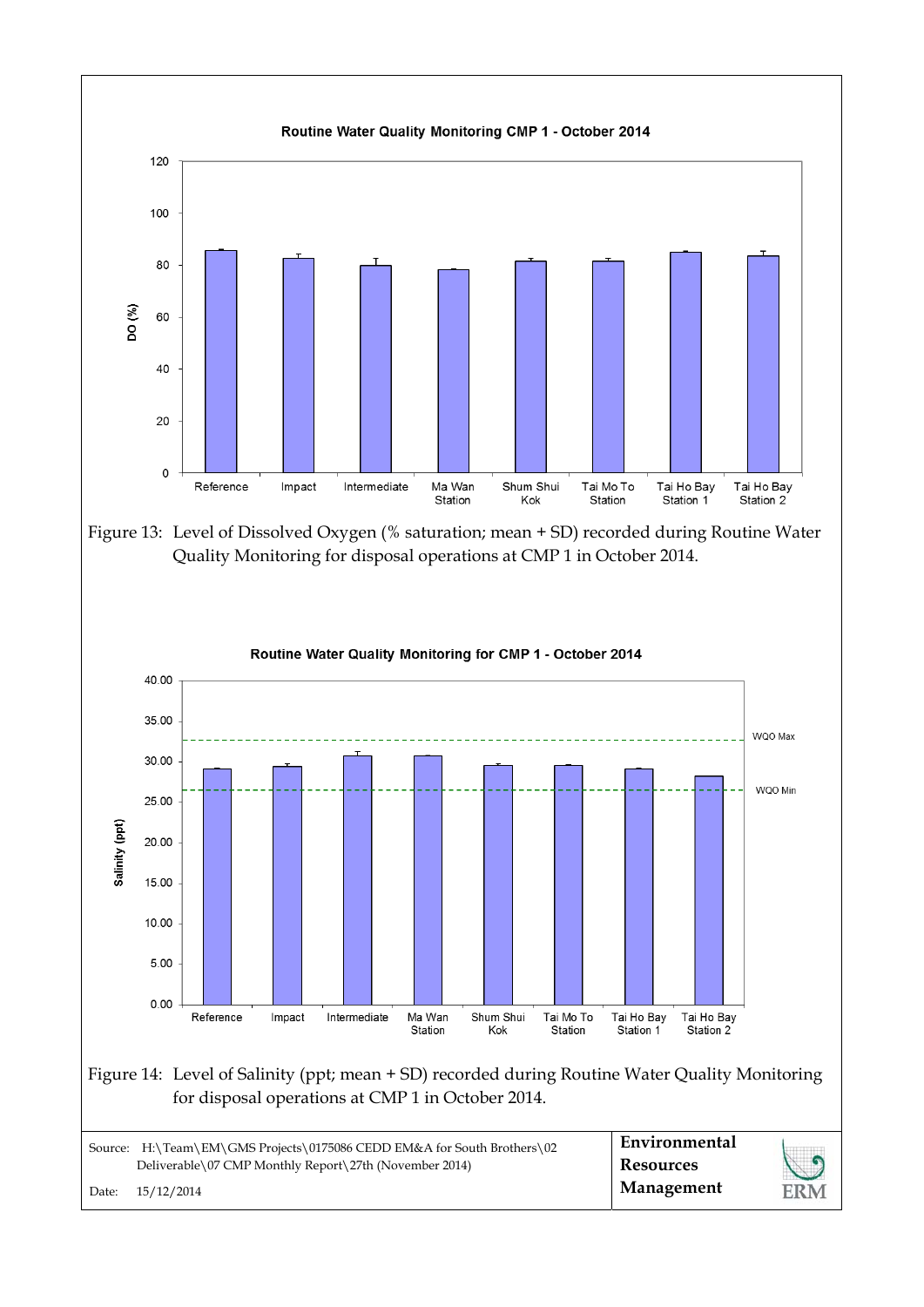![](_page_6_Figure_0.jpeg)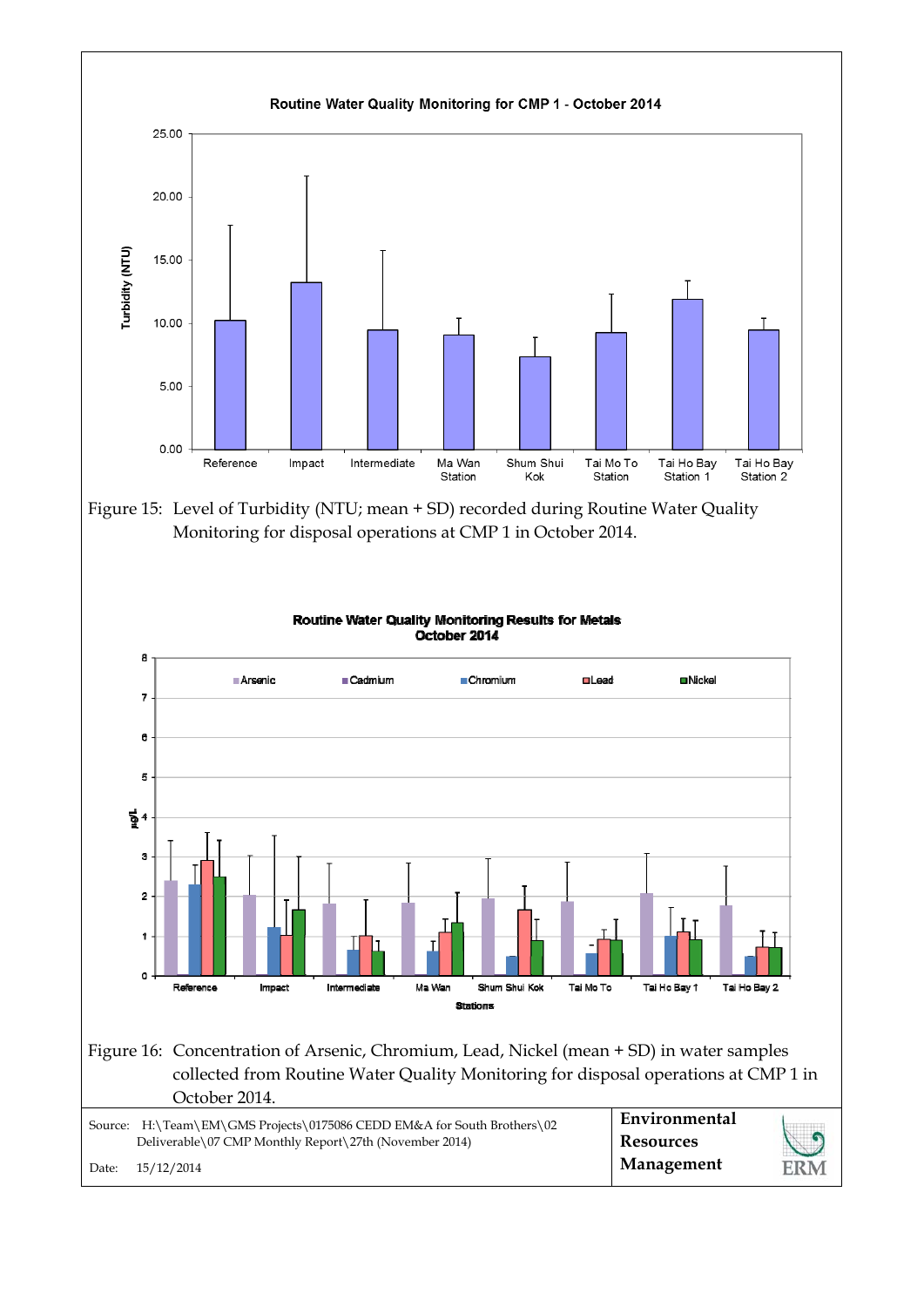![](_page_7_Figure_0.jpeg)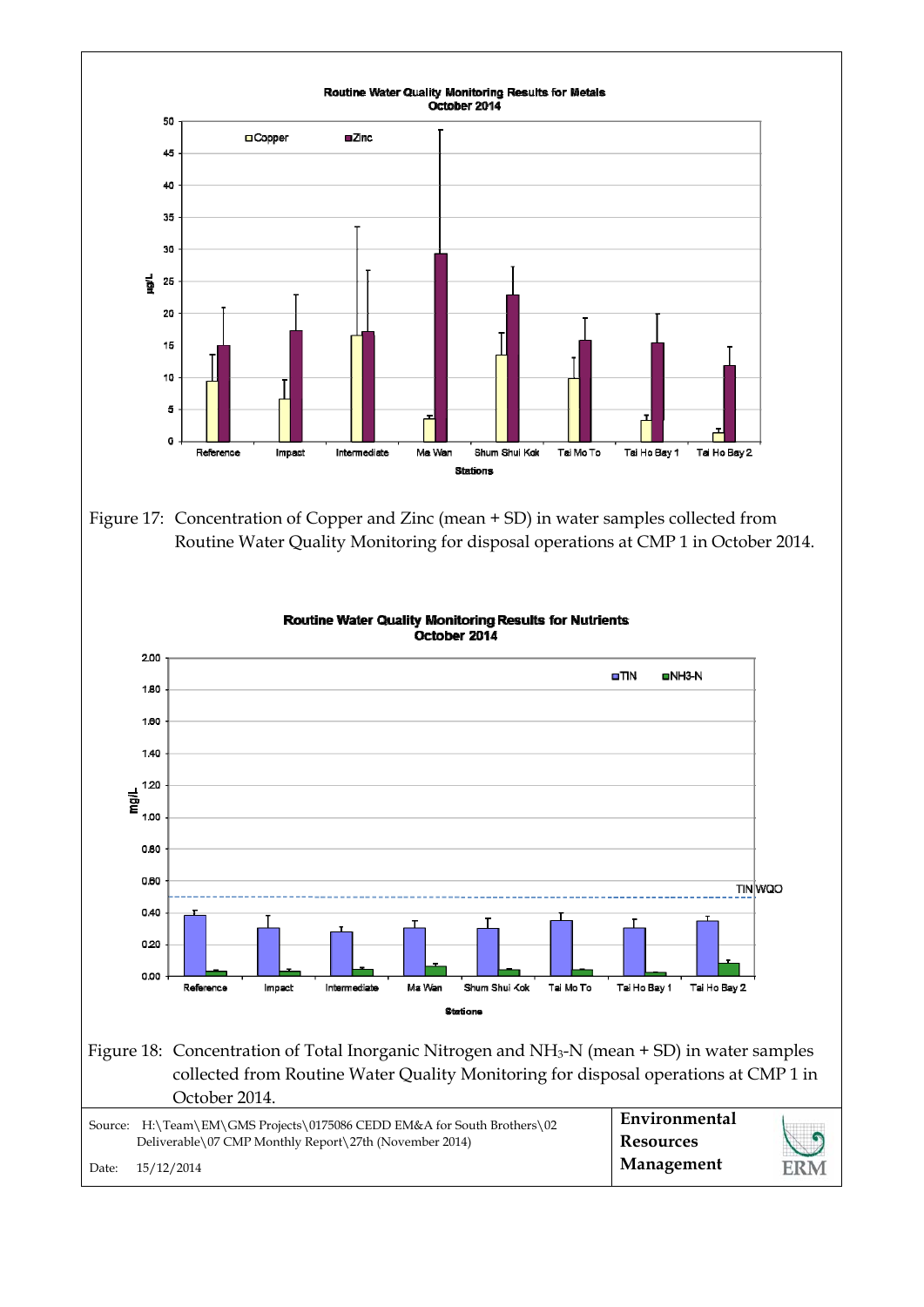![](_page_8_Figure_0.jpeg)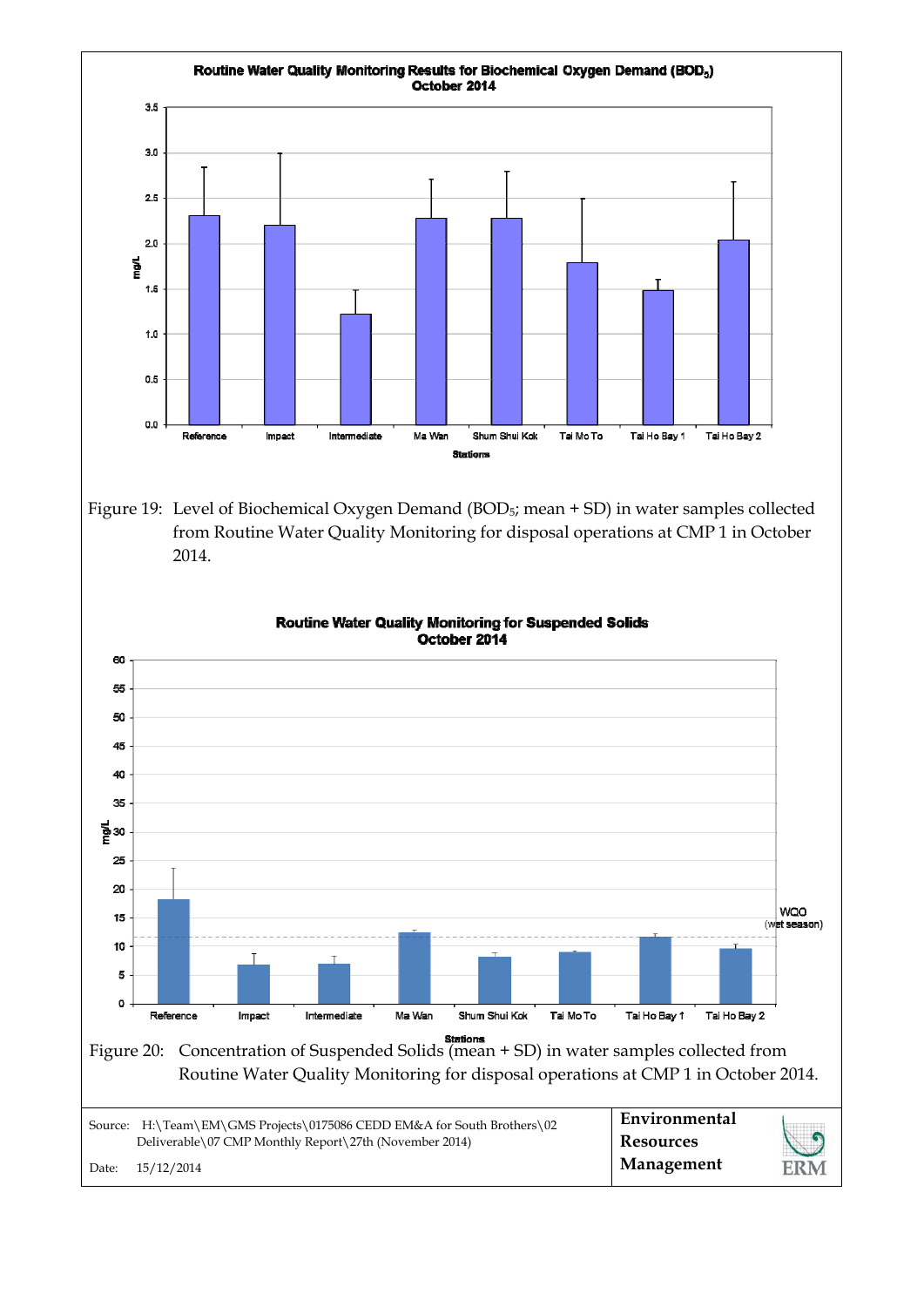![](_page_9_Figure_0.jpeg)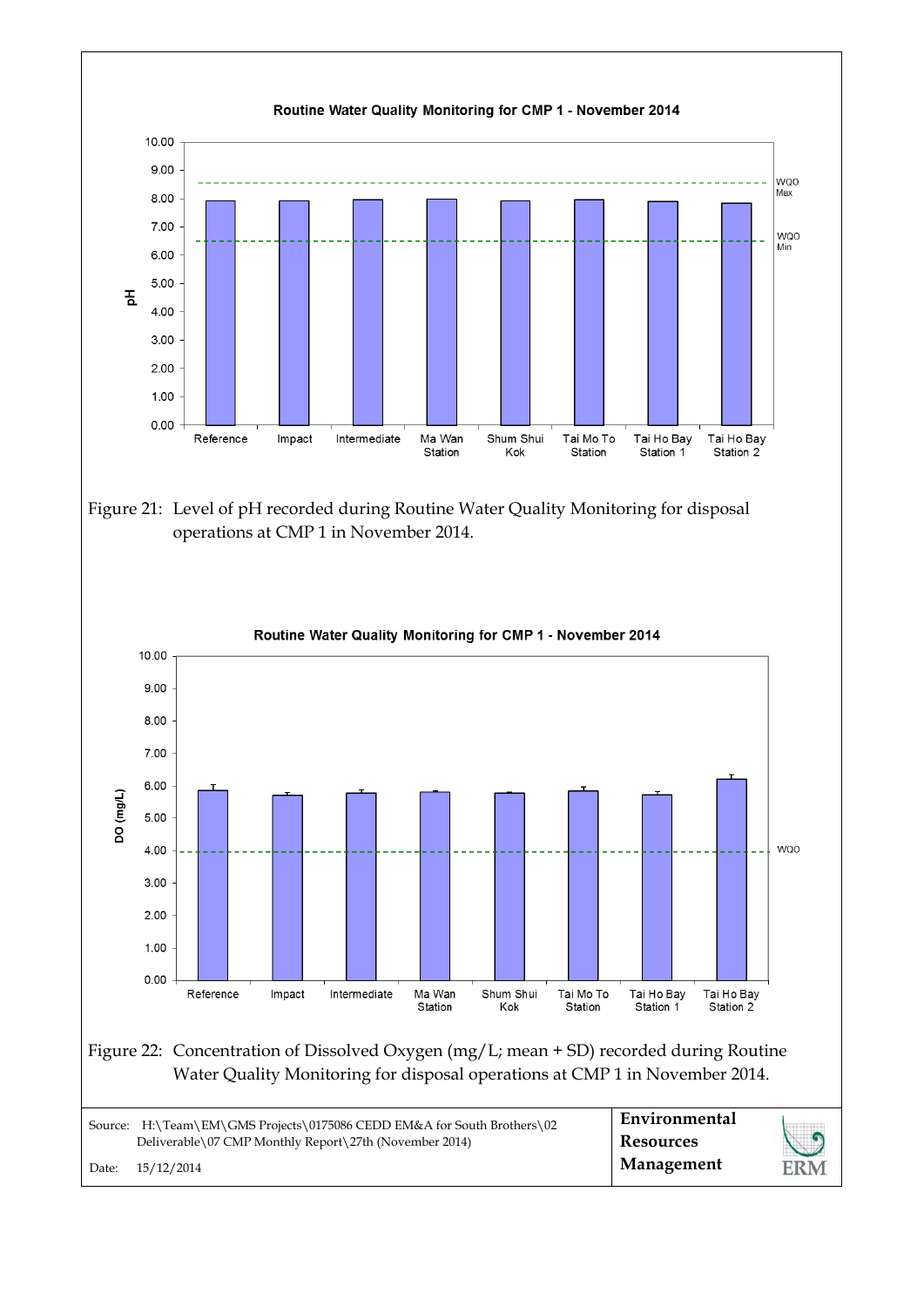![](_page_10_Figure_0.jpeg)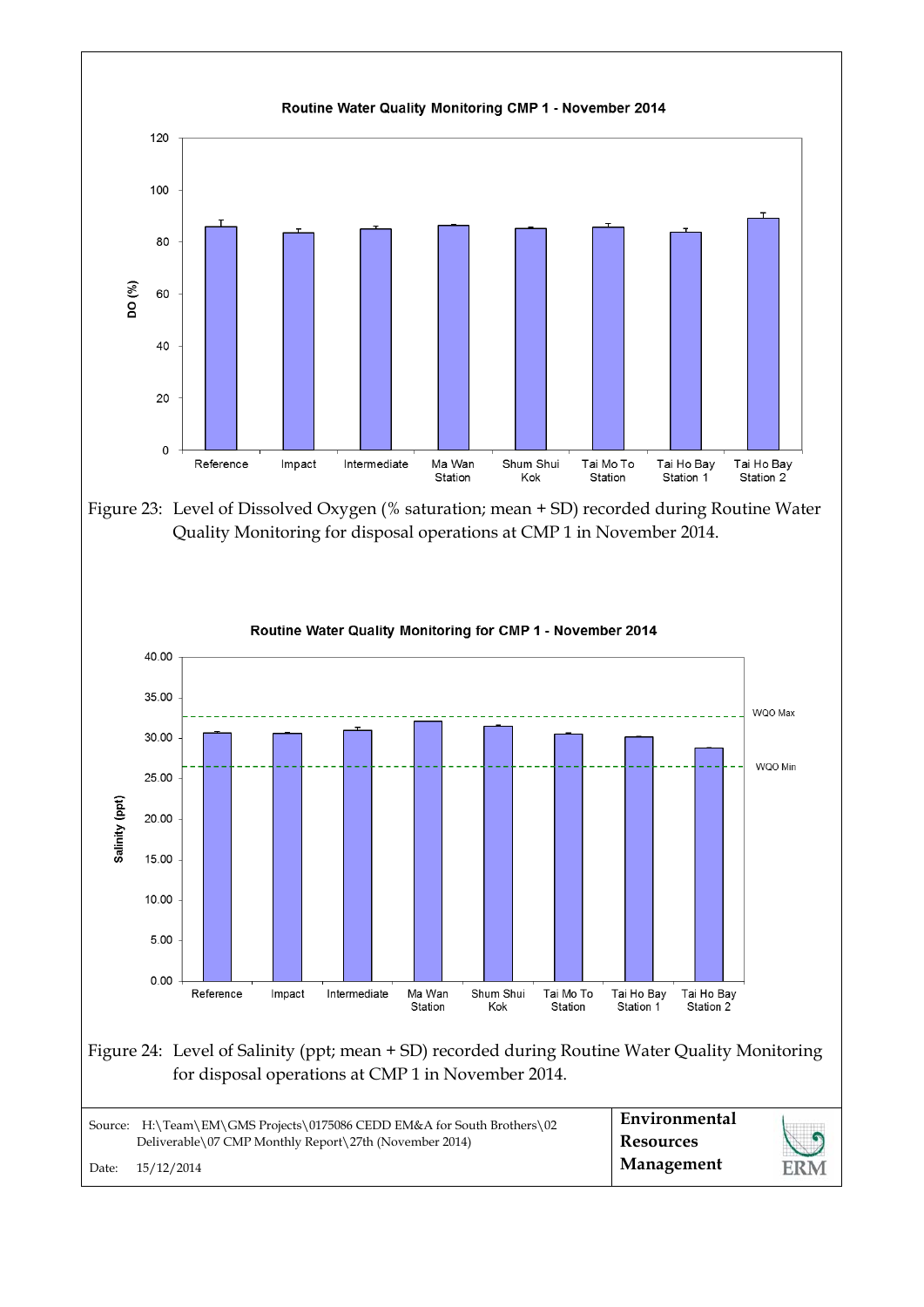![](_page_11_Figure_0.jpeg)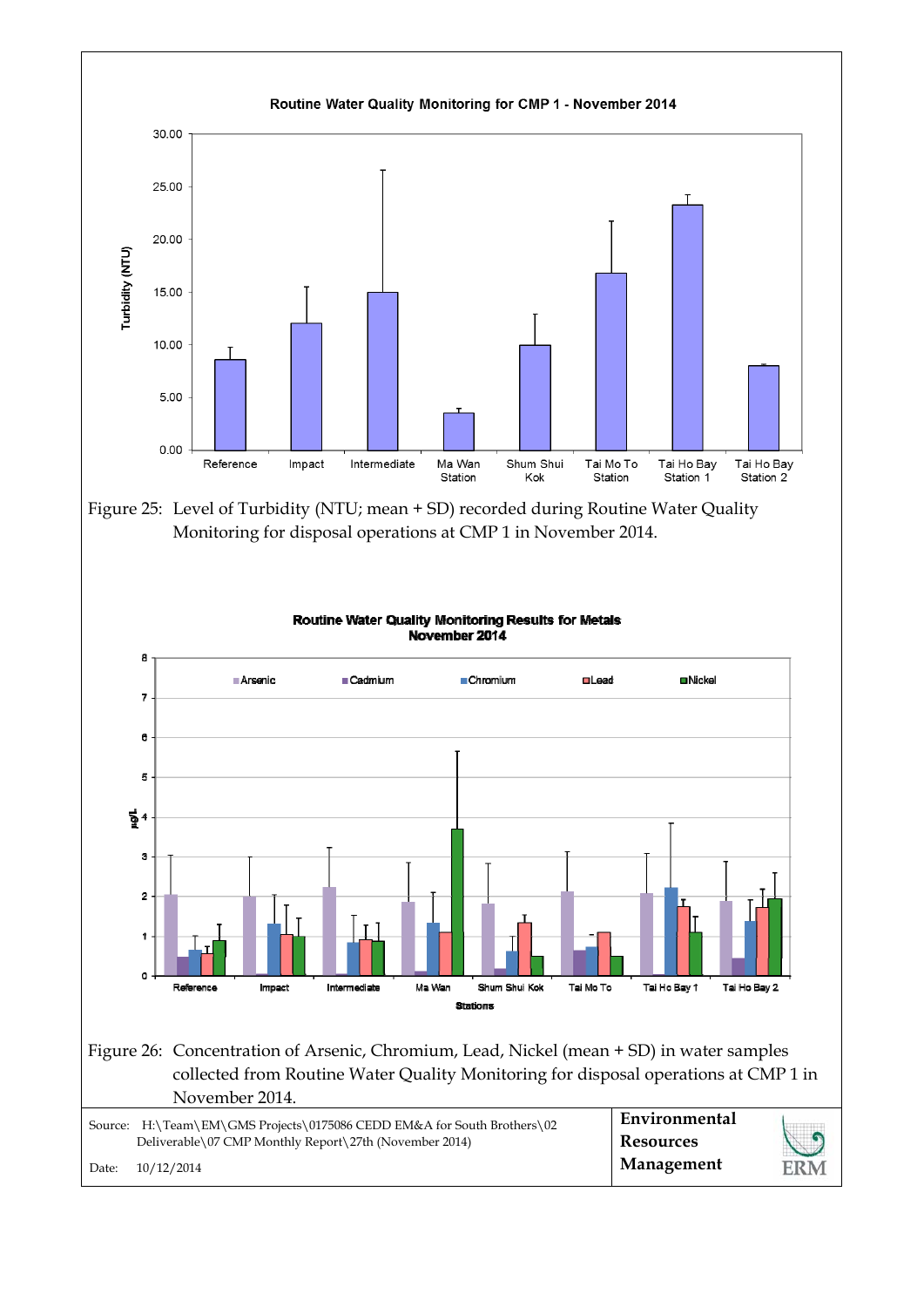![](_page_12_Figure_0.jpeg)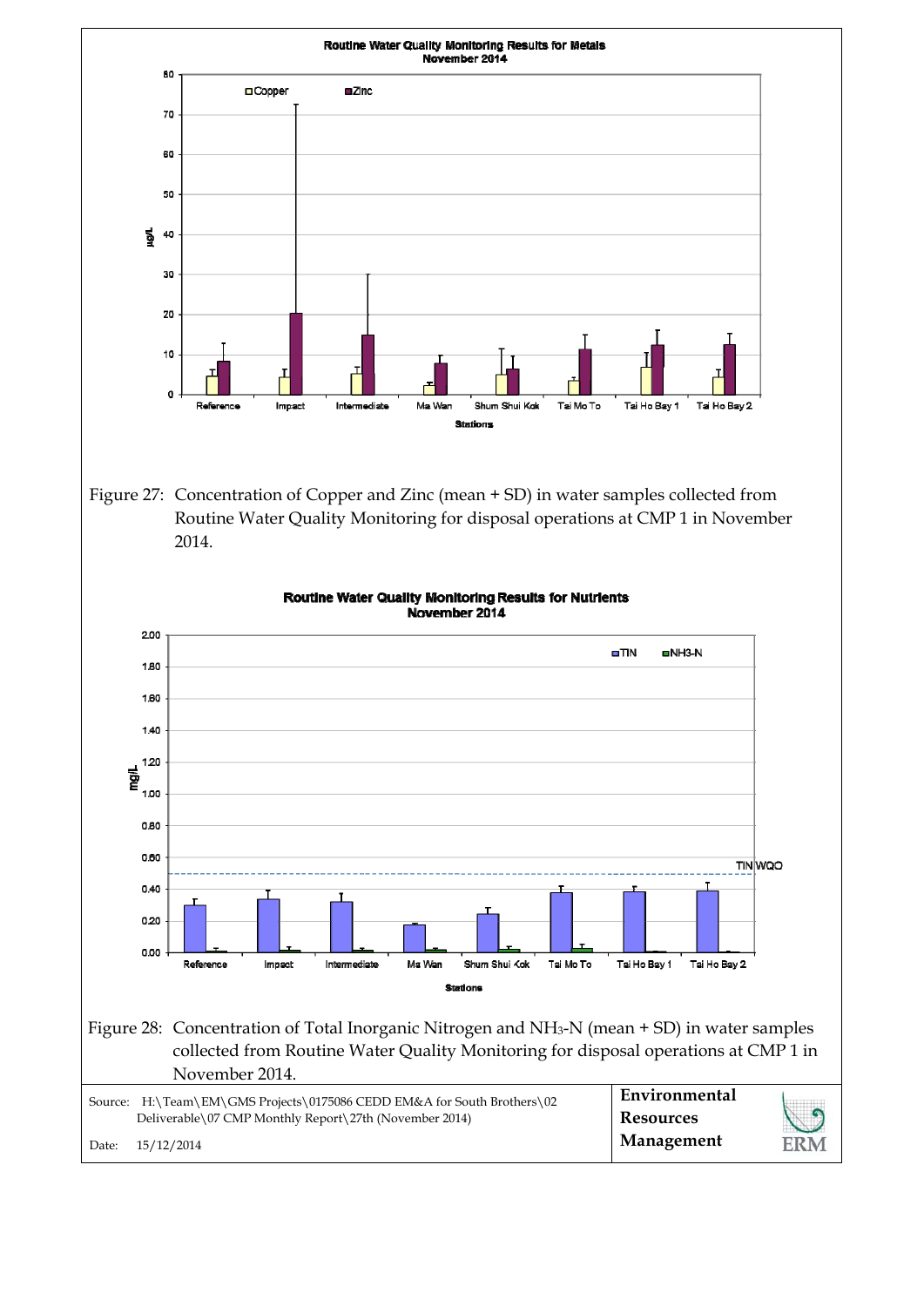![](_page_13_Figure_0.jpeg)